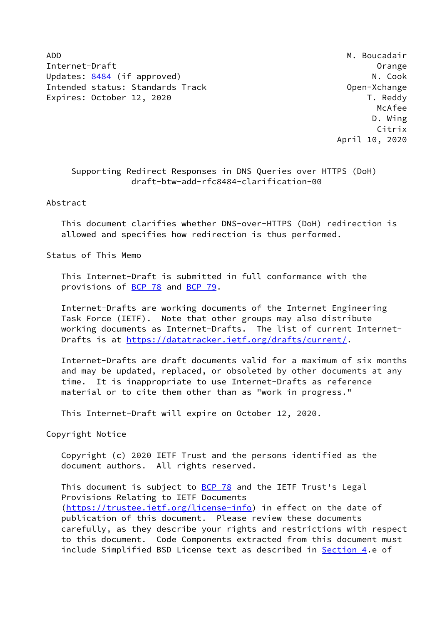ADD **M. Boucadair** Internet-Draft Orange Updates: [8484](https://datatracker.ietf.org/doc/pdf/rfc8484) (if approved) N. Cook Intended status: Standards Track Change Change Open-Xchange Expires: October 12, 2020 T. Reddy

 McAfee D. Wing Citrix April 10, 2020

## Supporting Redirect Responses in DNS Queries over HTTPS (DoH) draft-btw-add-rfc8484-clarification-00

Abstract

 This document clarifies whether DNS-over-HTTPS (DoH) redirection is allowed and specifies how redirection is thus performed.

Status of This Memo

 This Internet-Draft is submitted in full conformance with the provisions of [BCP 78](https://datatracker.ietf.org/doc/pdf/bcp78) and [BCP 79](https://datatracker.ietf.org/doc/pdf/bcp79).

 Internet-Drafts are working documents of the Internet Engineering Task Force (IETF). Note that other groups may also distribute working documents as Internet-Drafts. The list of current Internet- Drafts is at<https://datatracker.ietf.org/drafts/current/>.

 Internet-Drafts are draft documents valid for a maximum of six months and may be updated, replaced, or obsoleted by other documents at any time. It is inappropriate to use Internet-Drafts as reference material or to cite them other than as "work in progress."

This Internet-Draft will expire on October 12, 2020.

Copyright Notice

 Copyright (c) 2020 IETF Trust and the persons identified as the document authors. All rights reserved.

This document is subject to **[BCP 78](https://datatracker.ietf.org/doc/pdf/bcp78)** and the IETF Trust's Legal Provisions Relating to IETF Documents [\(https://trustee.ietf.org/license-info](https://trustee.ietf.org/license-info)) in effect on the date of publication of this document. Please review these documents carefully, as they describe your rights and restrictions with respect to this document. Code Components extracted from this document must include Simplified BSD License text as described in [Section 4.](#page-3-0)e of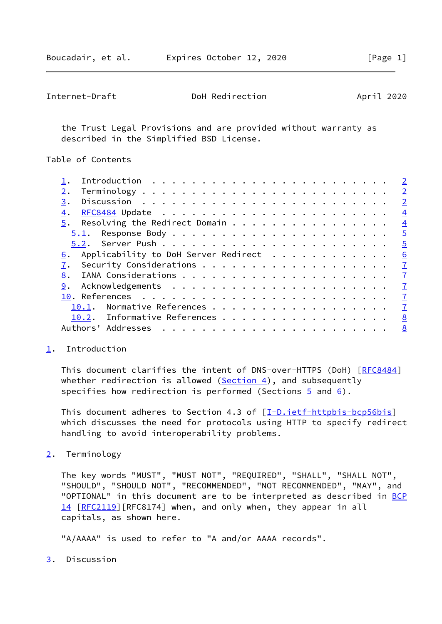<span id="page-1-1"></span>

| Internet-Draft | DoH Redirection | April 2020 |
|----------------|-----------------|------------|
|----------------|-----------------|------------|

 the Trust Legal Provisions and are provided without warranty as described in the Simplified BSD License.

Table of Contents

|    |       |                                      |  |  |  |  |  |  |  |  |  |  |  | $\overline{2}$ |
|----|-------|--------------------------------------|--|--|--|--|--|--|--|--|--|--|--|----------------|
| 2. |       |                                      |  |  |  |  |  |  |  |  |  |  |  | $\overline{2}$ |
| 3. |       |                                      |  |  |  |  |  |  |  |  |  |  |  | $\overline{2}$ |
| 4. |       |                                      |  |  |  |  |  |  |  |  |  |  |  | $\overline{4}$ |
| 5. |       | Resolving the Redirect Domain        |  |  |  |  |  |  |  |  |  |  |  | $\overline{4}$ |
|    |       |                                      |  |  |  |  |  |  |  |  |  |  |  | $\overline{5}$ |
|    |       |                                      |  |  |  |  |  |  |  |  |  |  |  | $\overline{5}$ |
| 6. |       | Applicability to DoH Server Redirect |  |  |  |  |  |  |  |  |  |  |  | 6              |
|    |       |                                      |  |  |  |  |  |  |  |  |  |  |  | $\overline{1}$ |
| 8. |       |                                      |  |  |  |  |  |  |  |  |  |  |  | $\overline{1}$ |
| 9. |       |                                      |  |  |  |  |  |  |  |  |  |  |  | $\overline{1}$ |
|    |       |                                      |  |  |  |  |  |  |  |  |  |  |  | $\overline{1}$ |
|    | 10.1. | Normative References                 |  |  |  |  |  |  |  |  |  |  |  | $\overline{1}$ |
|    |       | 10.2. Informative References         |  |  |  |  |  |  |  |  |  |  |  | 8              |
|    |       | Authors' Addresses                   |  |  |  |  |  |  |  |  |  |  |  | 8              |
|    |       |                                      |  |  |  |  |  |  |  |  |  |  |  |                |

## <span id="page-1-0"></span>[1](#page-1-0). Introduction

This document clarifies the intent of DNS-over-HTTPS (DoH) [[RFC8484\]](https://datatracker.ietf.org/doc/pdf/rfc8484) whether redirection is allowed  $(Section 4)$ , and subsequently specifies how redirection is performed (Sections  $\frac{5}{2}$  and  $\frac{6}{2}$ ).

This document adheres to Section 4.3 of [\[I-D.ietf-httpbis-bcp56bis](#page-8-1)] which discusses the need for protocols using HTTP to specify redirect handling to avoid interoperability problems.

<span id="page-1-2"></span>[2](#page-1-2). Terminology

 The key words "MUST", "MUST NOT", "REQUIRED", "SHALL", "SHALL NOT", "SHOULD", "SHOULD NOT", "RECOMMENDED", "NOT RECOMMENDED", "MAY", and "OPTIONAL" in this document are to be interpreted as described in [BCP](https://datatracker.ietf.org/doc/pdf/bcp14) [14](https://datatracker.ietf.org/doc/pdf/bcp14) [[RFC2119\]](https://datatracker.ietf.org/doc/pdf/rfc2119) [RFC8174] when, and only when, they appear in all capitals, as shown here.

"A/AAAA" is used to refer to "A and/or AAAA records".

<span id="page-1-3"></span>[3](#page-1-3). Discussion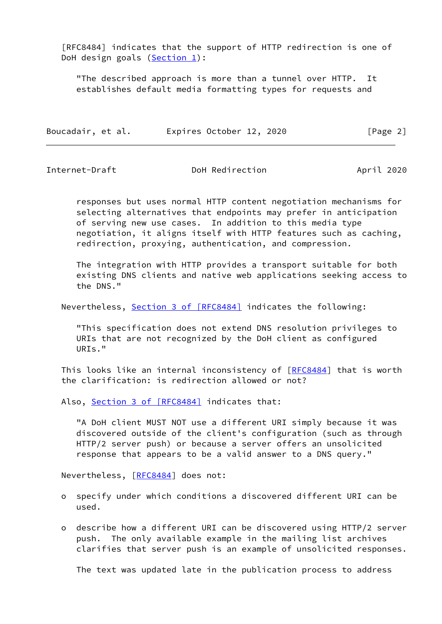[RFC8484] indicates that the support of HTTP redirection is one of DoH design goals  $(Section 1)$ :

 "The described approach is more than a tunnel over HTTP. It establishes default media formatting types for requests and

| Boucadair, et al. | Expires October 12, 2020 | [Page 2] |
|-------------------|--------------------------|----------|
|                   |                          |          |

Internet-Draft DoH Redirection April 2020

 responses but uses normal HTTP content negotiation mechanisms for selecting alternatives that endpoints may prefer in anticipation of serving new use cases. In addition to this media type negotiation, it aligns itself with HTTP features such as caching, redirection, proxying, authentication, and compression.

 The integration with HTTP provides a transport suitable for both existing DNS clients and native web applications seeking access to the DNS."

Nevertheless, Section [3 of \[RFC8484\]](https://datatracker.ietf.org/doc/pdf/rfc8484#section-3) indicates the following:

 "This specification does not extend DNS resolution privileges to URIs that are not recognized by the DoH client as configured URIs."

This looks like an internal inconsistency of [\[RFC8484](https://datatracker.ietf.org/doc/pdf/rfc8484)] that is worth the clarification: is redirection allowed or not?

Also, Section [3 of \[RFC8484\]](https://datatracker.ietf.org/doc/pdf/rfc8484#section-3) indicates that:

 "A DoH client MUST NOT use a different URI simply because it was discovered outside of the client's configuration (such as through HTTP/2 server push) or because a server offers an unsolicited response that appears to be a valid answer to a DNS query."

Nevertheless, [[RFC8484](https://datatracker.ietf.org/doc/pdf/rfc8484)] does not:

- o specify under which conditions a discovered different URI can be used.
- o describe how a different URI can be discovered using HTTP/2 server push. The only available example in the mailing list archives clarifies that server push is an example of unsolicited responses.

The text was updated late in the publication process to address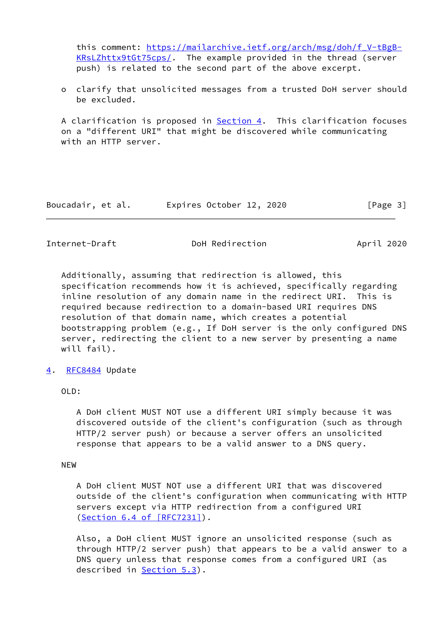this comment: [https://mailarchive.ietf.org/arch/msg/doh/f\\_V-tBgB-](https://mailarchive.ietf.org/arch/msg/doh/f_V-tBgB-KRsLZhttx9tGt75cps/) [KRsLZhttx9tGt75cps/](https://mailarchive.ietf.org/arch/msg/doh/f_V-tBgB-KRsLZhttx9tGt75cps/). The example provided in the thread (server push) is related to the second part of the above excerpt.

 o clarify that unsolicited messages from a trusted DoH server should be excluded.

 A clarification is proposed in [Section 4.](#page-3-0) This clarification focuses on a "different URI" that might be discovered while communicating with an HTTP server.

| Boucadair, et al. | Expires October 12, 2020 | [Page 3] |
|-------------------|--------------------------|----------|
|-------------------|--------------------------|----------|

<span id="page-3-1"></span>Internet-Draft **DoH** Redirection **April 2020** 

 Additionally, assuming that redirection is allowed, this specification recommends how it is achieved, specifically regarding inline resolution of any domain name in the redirect URI. This is required because redirection to a domain-based URI requires DNS resolution of that domain name, which creates a potential bootstrapping problem (e.g., If DoH server is the only configured DNS server, redirecting the client to a new server by presenting a name will fail).

<span id="page-3-0"></span>[4](#page-3-0). [RFC8484](https://datatracker.ietf.org/doc/pdf/rfc8484) Update

OLD:

 A DoH client MUST NOT use a different URI simply because it was discovered outside of the client's configuration (such as through HTTP/2 server push) or because a server offers an unsolicited response that appears to be a valid answer to a DNS query.

NEW

 A DoH client MUST NOT use a different URI that was discovered outside of the client's configuration when communicating with HTTP servers except via HTTP redirection from a configured URI (Section [6.4 of \[RFC7231\]\)](https://datatracker.ietf.org/doc/pdf/rfc7231#section-6.4).

 Also, a DoH client MUST ignore an unsolicited response (such as through HTTP/2 server push) that appears to be a valid answer to a DNS query unless that response comes from a configured URI (as described in Section 5.3).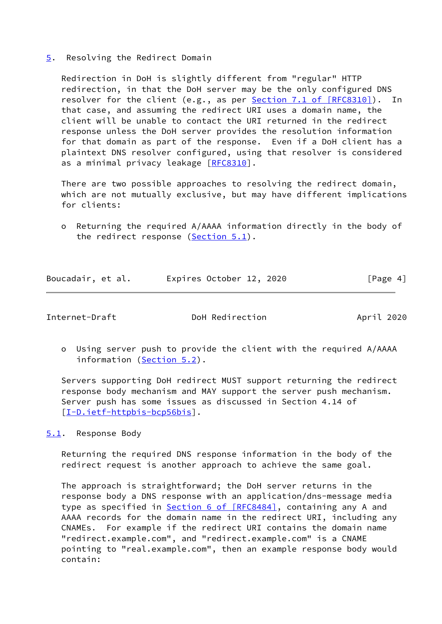<span id="page-4-0"></span>[5](#page-4-0). Resolving the Redirect Domain

 Redirection in DoH is slightly different from "regular" HTTP redirection, in that the DoH server may be the only configured DNS resolver for the client (e.g., as per **Section [7.1 of \[RFC8310\]](https://datatracker.ietf.org/doc/pdf/rfc8310#section-7.1)**). In that case, and assuming the redirect URI uses a domain name, the client will be unable to contact the URI returned in the redirect response unless the DoH server provides the resolution information for that domain as part of the response. Even if a DoH client has a plaintext DNS resolver configured, using that resolver is considered as a minimal privacy leakage [\[RFC8310](https://datatracker.ietf.org/doc/pdf/rfc8310)].

 There are two possible approaches to resolving the redirect domain, which are not mutually exclusive, but may have different implications for clients:

 o Returning the required A/AAAA information directly in the body of the redirect response [\(Section 5.1](#page-4-1)).

| Boucadair, et al. |  | Expires October 12, 2020 |  | [Page 4] |  |
|-------------------|--|--------------------------|--|----------|--|
|                   |  |                          |  |          |  |

<span id="page-4-2"></span>

Internet-Draft DoH Redirection April 2020

 o Using server push to provide the client with the required A/AAAA information [\(Section 5.2](#page-5-0)).

 Servers supporting DoH redirect MUST support returning the redirect response body mechanism and MAY support the server push mechanism. Server push has some issues as discussed in Section 4.14 of [\[I-D.ietf-httpbis-bcp56bis](#page-8-1)].

<span id="page-4-1"></span>[5.1](#page-4-1). Response Body

 Returning the required DNS response information in the body of the redirect request is another approach to achieve the same goal.

 The approach is straightforward; the DoH server returns in the response body a DNS response with an application/dns-message media type as specified in **Section [6 of \[RFC8484\]](https://datatracker.ietf.org/doc/pdf/rfc8484#section-6)**, containing any A and AAAA records for the domain name in the redirect URI, including any CNAMEs. For example if the redirect URI contains the domain name "redirect.example.com", and "redirect.example.com" is a CNAME pointing to "real.example.com", then an example response body would contain: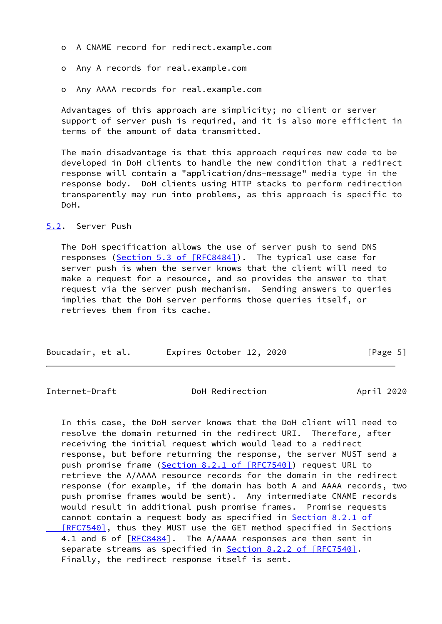- o A CNAME record for redirect.example.com
- o Any A records for real.example.com
- o Any AAAA records for real.example.com

 Advantages of this approach are simplicity; no client or server support of server push is required, and it is also more efficient in terms of the amount of data transmitted.

 The main disadvantage is that this approach requires new code to be developed in DoH clients to handle the new condition that a redirect response will contain a "application/dns-message" media type in the response body. DoH clients using HTTP stacks to perform redirection transparently may run into problems, as this approach is specific to DoH.

## <span id="page-5-0"></span>[5.2](#page-5-0). Server Push

 The DoH specification allows the use of server push to send DNS responses (Section [5.3 of \[RFC8484\]\)](https://datatracker.ietf.org/doc/pdf/rfc8484#section-5.3). The typical use case for server push is when the server knows that the client will need to make a request for a resource, and so provides the answer to that request via the server push mechanism. Sending answers to queries implies that the DoH server performs those queries itself, or retrieves them from its cache.

| Boucadair, et al. | Expires October 12, 2020 | [Page 5] |
|-------------------|--------------------------|----------|
|-------------------|--------------------------|----------|

<span id="page-5-1"></span>Internet-Draft DoH Redirection April 2020

 In this case, the DoH server knows that the DoH client will need to resolve the domain returned in the redirect URI. Therefore, after receiving the initial request which would lead to a redirect response, but before returning the response, the server MUST send a push promise frame (Section [8.2.1 of \[RFC7540\]\)](https://datatracker.ietf.org/doc/pdf/rfc7540#section-8.2.1) request URL to retrieve the A/AAAA resource records for the domain in the redirect response (for example, if the domain has both A and AAAA records, two push promise frames would be sent). Any intermediate CNAME records would result in additional push promise frames. Promise requests cannot contain a request body as specified in Section [8.2.1 of](https://datatracker.ietf.org/doc/pdf/rfc7540#section-8.2.1)  [\[RFC7540\]](https://datatracker.ietf.org/doc/pdf/rfc7540#section-8.2.1), thus they MUST use the GET method specified in Sections 4.1 and 6 of  $[RECS484]$ . The A/AAAA responses are then sent in separate streams as specified in **Section 8.2.2 of [RFC7540]**. Finally, the redirect response itself is sent.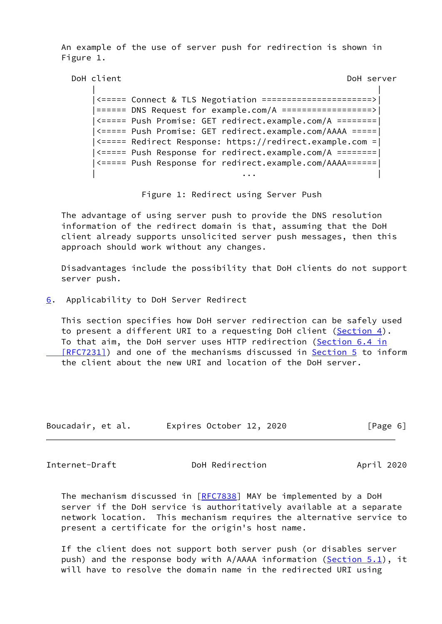An example of the use of server push for redirection is shown in Figure 1.

```
 DoH client DoH server
| |
       |<===== Connect & TLS Negotiation ======================>|
       |====== DNS Request for example.com/A ==================>|
       |<===== Push Promise: GET redirect.example.com/A ========|
       |<===== Push Promise: GET redirect.example.com/AAAA =====|
       |<===== Redirect Response: https://redirect.example.com =|
       |<===== Push Response for redirect.example.com/A ========|
```
Figure 1: Redirect using Server Push

| ... | ... | ... | ... | ... | ... | ... | ... | ... | ... | ... | ... | ... | ... | ... | ... | ... | ... |

|<===== Push Response for redirect.example.com/AAAA======|

 The advantage of using server push to provide the DNS resolution information of the redirect domain is that, assuming that the DoH client already supports unsolicited server push messages, then this approach should work without any changes.

 Disadvantages include the possibility that DoH clients do not support server push.

<span id="page-6-0"></span>[6](#page-6-0). Applicability to DoH Server Redirect

 This section specifies how DoH server redirection can be safely used to present a different URI to a requesting DoH client ([Section 4\)](#page-3-0). To that aim, the DoH server uses HTTP redirection ([Section](https://datatracker.ietf.org/doc/pdf/rfc7231#section-6.4) 6.4 in  [\[RFC7231\]](https://datatracker.ietf.org/doc/pdf/rfc7231#section-6.4)) and one of the mechanisms discussed in [Section 5](#page-4-0) to inform the client about the new URI and location of the DoH server.

| Boucadair, et al. | Expires October 12, 2020 | [Page 6] |
|-------------------|--------------------------|----------|
|-------------------|--------------------------|----------|

<span id="page-6-1"></span>Internet-Draft **DoH** Redirection **April 2020** 

The mechanism discussed in [[RFC7838\]](https://datatracker.ietf.org/doc/pdf/rfc7838) MAY be implemented by a DoH server if the DoH service is authoritatively available at a separate network location. This mechanism requires the alternative service to present a certificate for the origin's host name.

 If the client does not support both server push (or disables server push) and the response body with  $A/AAAA$  information [\(Section 5.1](#page-4-1)), it will have to resolve the domain name in the redirected URI using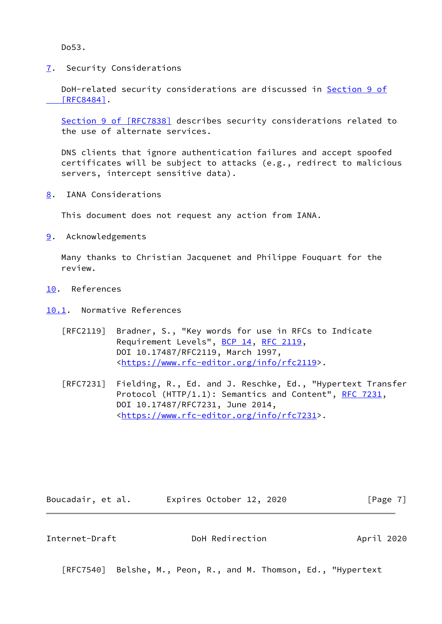Do53.

<span id="page-7-0"></span>[7](#page-7-0). Security Considerations

DoH-related security considerations are discussed in [Section](https://datatracker.ietf.org/doc/pdf/rfc8484#section-9) 9 of  [\[RFC8484\]](https://datatracker.ietf.org/doc/pdf/rfc8484#section-9).

 Section [9 of \[RFC7838\]](https://datatracker.ietf.org/doc/pdf/rfc7838#section-9) describes security considerations related to the use of alternate services.

 DNS clients that ignore authentication failures and accept spoofed certificates will be subject to attacks (e.g., redirect to malicious servers, intercept sensitive data).

<span id="page-7-1"></span>[8](#page-7-1). IANA Considerations

This document does not request any action from IANA.

<span id="page-7-2"></span>[9](#page-7-2). Acknowledgements

 Many thanks to Christian Jacquenet and Philippe Fouquart for the review.

- <span id="page-7-3"></span>[10.](#page-7-3) References
- <span id="page-7-4"></span>[10.1](#page-7-4). Normative References
	- [RFC2119] Bradner, S., "Key words for use in RFCs to Indicate Requirement Levels", [BCP 14](https://datatracker.ietf.org/doc/pdf/bcp14), [RFC 2119](https://datatracker.ietf.org/doc/pdf/rfc2119), DOI 10.17487/RFC2119, March 1997, <[https://www.rfc-editor.org/info/rfc2119>](https://www.rfc-editor.org/info/rfc2119).
	- [RFC7231] Fielding, R., Ed. and J. Reschke, Ed., "Hypertext Transfer Protocol (HTTP/1.1): Semantics and Content", [RFC 7231](https://datatracker.ietf.org/doc/pdf/rfc7231), DOI 10.17487/RFC7231, June 2014, <[https://www.rfc-editor.org/info/rfc7231>](https://www.rfc-editor.org/info/rfc7231).

Boucadair, et al. Expires October 12, 2020 [Page 7]

<span id="page-7-5"></span>Internet-Draft DoH Redirection April 2020

[RFC7540] Belshe, M., Peon, R., and M. Thomson, Ed., "Hypertext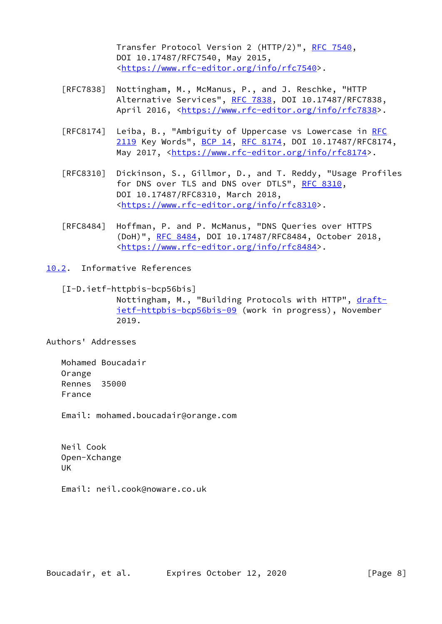Transfer Protocol Version 2 (HTTP/2)", [RFC 7540](https://datatracker.ietf.org/doc/pdf/rfc7540), DOI 10.17487/RFC7540, May 2015, <[https://www.rfc-editor.org/info/rfc7540>](https://www.rfc-editor.org/info/rfc7540).

- [RFC7838] Nottingham, M., McManus, P., and J. Reschke, "HTTP Alternative Services", [RFC 7838](https://datatracker.ietf.org/doc/pdf/rfc7838), DOI 10.17487/RFC7838, April 2016, [<https://www.rfc-editor.org/info/rfc7838](https://www.rfc-editor.org/info/rfc7838)>.
- [RFC8174] Leiba, B., "Ambiguity of Uppercase vs Lowercase in [RFC](https://datatracker.ietf.org/doc/pdf/rfc2119) [2119](https://datatracker.ietf.org/doc/pdf/rfc2119) Key Words", [BCP 14](https://datatracker.ietf.org/doc/pdf/bcp14), [RFC 8174,](https://datatracker.ietf.org/doc/pdf/rfc8174) DOI 10.17487/RFC8174, May 2017, [<https://www.rfc-editor.org/info/rfc8174](https://www.rfc-editor.org/info/rfc8174)>.
- [RFC8310] Dickinson, S., Gillmor, D., and T. Reddy, "Usage Profiles for DNS over TLS and DNS over DTLS", [RFC 8310](https://datatracker.ietf.org/doc/pdf/rfc8310), DOI 10.17487/RFC8310, March 2018, <[https://www.rfc-editor.org/info/rfc8310>](https://www.rfc-editor.org/info/rfc8310).
- [RFC8484] Hoffman, P. and P. McManus, "DNS Queries over HTTPS (DoH)", [RFC 8484,](https://datatracker.ietf.org/doc/pdf/rfc8484) DOI 10.17487/RFC8484, October 2018, <[https://www.rfc-editor.org/info/rfc8484>](https://www.rfc-editor.org/info/rfc8484).
- <span id="page-8-1"></span><span id="page-8-0"></span>[10.2](#page-8-0). Informative References
	- [I-D.ietf-httpbis-bcp56bis] Nottingham, M., "Building Protocols with HTTP", [draft](https://datatracker.ietf.org/doc/pdf/draft-ietf-httpbis-bcp56bis-09) [ietf-httpbis-bcp56bis-09](https://datatracker.ietf.org/doc/pdf/draft-ietf-httpbis-bcp56bis-09) (work in progress), November 2019.

Authors' Addresses

 Mohamed Boucadair Orange Rennes 35000 France

Email: mohamed.boucadair@orange.com

 Neil Cook Open-Xchange UK

Email: neil.cook@noware.co.uk